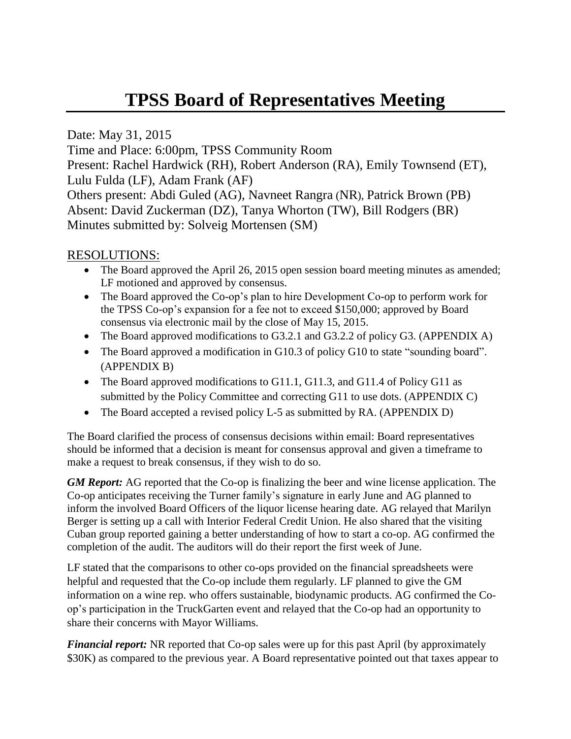# **TPSS Board of Representatives Meeting**

Date: May 31, 2015

Time and Place: 6:00pm, TPSS Community Room

Present: Rachel Hardwick (RH), Robert Anderson (RA), Emily Townsend (ET), Lulu Fulda (LF), Adam Frank (AF)

Others present: Abdi Guled (AG), Navneet Rangra (NR), Patrick Brown (PB) Absent: David Zuckerman (DZ), Tanya Whorton (TW), Bill Rodgers (BR) Minutes submitted by: Solveig Mortensen (SM)

## RESOLUTIONS:

- The Board approved the April 26, 2015 open session board meeting minutes as amended; LF motioned and approved by consensus.
- The Board approved the Co-op's plan to hire Development Co-op to perform work for the TPSS Co-op's expansion for a fee not to exceed \$150,000; approved by Board consensus via electronic mail by the close of May 15, 2015.
- The Board approved modifications to G3.2.1 and G3.2.2 of policy G3. (APPENDIX A)
- The Board approved a modification in G10.3 of policy G10 to state "sounding board". (APPENDIX B)
- The Board approved modifications to G11.1, G11.3, and G11.4 of Policy G11 as submitted by the Policy Committee and correcting G11 to use dots. (APPENDIX C)
- The Board accepted a revised policy L-5 as submitted by RA. (APPENDIX D)

The Board clarified the process of consensus decisions within email: Board representatives should be informed that a decision is meant for consensus approval and given a timeframe to make a request to break consensus, if they wish to do so.

*GM Report:* AG reported that the Co-op is finalizing the beer and wine license application. The Co-op anticipates receiving the Turner family's signature in early June and AG planned to inform the involved Board Officers of the liquor license hearing date. AG relayed that Marilyn Berger is setting up a call with Interior Federal Credit Union. He also shared that the visiting Cuban group reported gaining a better understanding of how to start a co-op. AG confirmed the completion of the audit. The auditors will do their report the first week of June.

LF stated that the comparisons to other co-ops provided on the financial spreadsheets were helpful and requested that the Co-op include them regularly. LF planned to give the GM information on a wine rep. who offers sustainable, biodynamic products. AG confirmed the Coop's participation in the TruckGarten event and relayed that the Co-op had an opportunity to share their concerns with Mayor Williams.

*Financial report:* NR reported that Co-op sales were up for this past April (by approximately \$30K) as compared to the previous year. A Board representative pointed out that taxes appear to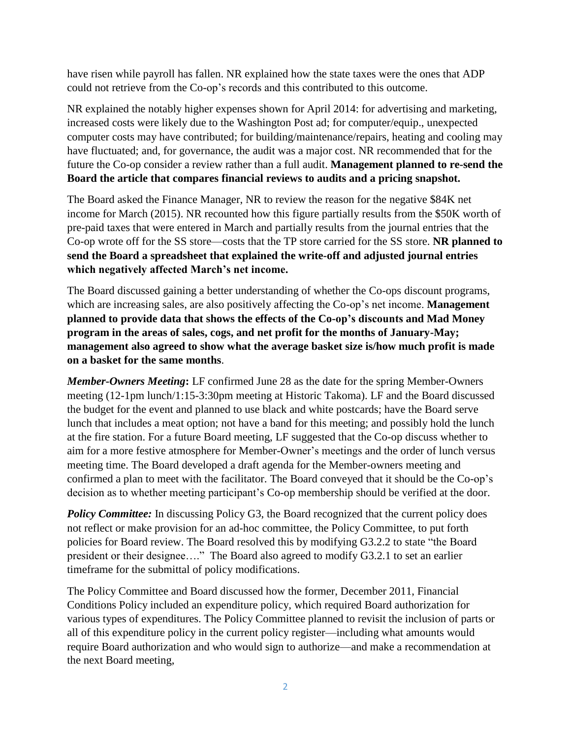have risen while payroll has fallen. NR explained how the state taxes were the ones that ADP could not retrieve from the Co-op's records and this contributed to this outcome.

NR explained the notably higher expenses shown for April 2014: for advertising and marketing, increased costs were likely due to the Washington Post ad; for computer/equip., unexpected computer costs may have contributed; for building/maintenance/repairs, heating and cooling may have fluctuated; and, for governance, the audit was a major cost. NR recommended that for the future the Co-op consider a review rather than a full audit. **Management planned to re-send the Board the article that compares financial reviews to audits and a pricing snapshot.**

The Board asked the Finance Manager, NR to review the reason for the negative \$84K net income for March (2015). NR recounted how this figure partially results from the \$50K worth of pre-paid taxes that were entered in March and partially results from the journal entries that the Co-op wrote off for the SS store—costs that the TP store carried for the SS store. **NR planned to send the Board a spreadsheet that explained the write-off and adjusted journal entries which negatively affected March's net income.** 

The Board discussed gaining a better understanding of whether the Co-ops discount programs, which are increasing sales, are also positively affecting the Co-op's net income. **Management planned to provide data that shows the effects of the Co-op's discounts and Mad Money program in the areas of sales, cogs, and net profit for the months of January-May; management also agreed to show what the average basket size is/how much profit is made on a basket for the same months**.

*Member-Owners Meeting***:** LF confirmed June 28 as the date for the spring Member-Owners meeting (12-1pm lunch/1:15-3:30pm meeting at Historic Takoma). LF and the Board discussed the budget for the event and planned to use black and white postcards; have the Board serve lunch that includes a meat option; not have a band for this meeting; and possibly hold the lunch at the fire station. For a future Board meeting, LF suggested that the Co-op discuss whether to aim for a more festive atmosphere for Member-Owner's meetings and the order of lunch versus meeting time. The Board developed a draft agenda for the Member-owners meeting and confirmed a plan to meet with the facilitator. The Board conveyed that it should be the Co-op's decision as to whether meeting participant's Co-op membership should be verified at the door.

**Policy Committee:** In discussing Policy G3, the Board recognized that the current policy does not reflect or make provision for an ad-hoc committee, the Policy Committee, to put forth policies for Board review. The Board resolved this by modifying G3.2.2 to state "the Board president or their designee…." The Board also agreed to modify G3.2.1 to set an earlier timeframe for the submittal of policy modifications.

The Policy Committee and Board discussed how the former, December 2011, Financial Conditions Policy included an expenditure policy, which required Board authorization for various types of expenditures. The Policy Committee planned to revisit the inclusion of parts or all of this expenditure policy in the current policy register—including what amounts would require Board authorization and who would sign to authorize—and make a recommendation at the next Board meeting,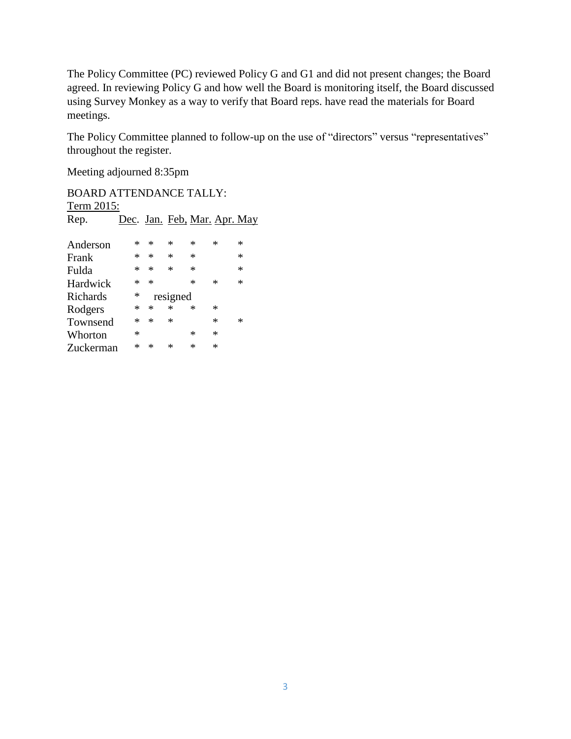The Policy Committee (PC) reviewed Policy G and G1 and did not present changes; the Board agreed. In reviewing Policy G and how well the Board is monitoring itself, the Board discussed using Survey Monkey as a way to verify that Board reps. have read the materials for Board meetings.

The Policy Committee planned to follow-up on the use of "directors" versus "representatives" throughout the register.

Meeting adjourned 8:35pm

BOARD ATTENDANCE TALLY: Term 2015: Rep. Dec. Jan. Feb. Mar. Apr. May Anderson \* \* \* \* \* \* Frank \* \* \* \* \* \* Fulda \* \* \* \* \* Hardwick Richards \* resigned Rodgers \* \* \* \* \* Townsend \* \* \* \* \* Whorton  $*$  \* \* \*<br>
Tuckerman \* \* \* \* \* Zuckerman \* \* \* \* \*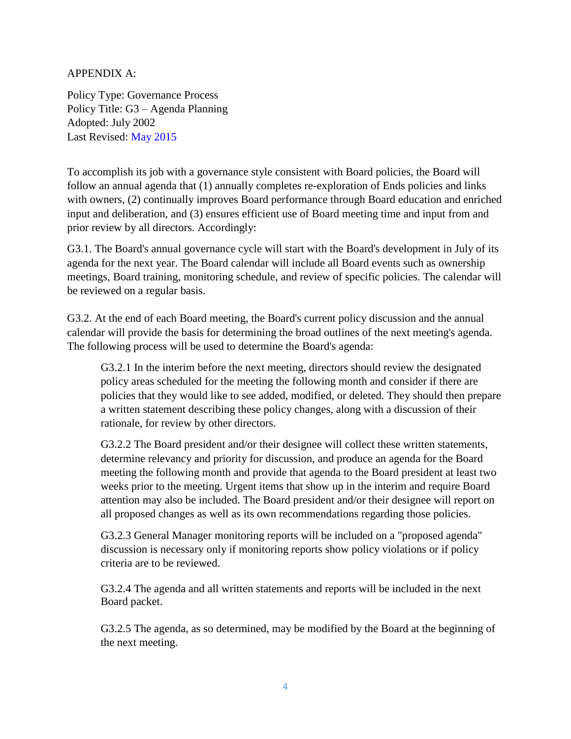### APPENDIX A:

Policy Type: Governance Process Policy Title: G3 – Agenda Planning Adopted: July 2002 Last Revised: May 2015

To accomplish its job with a governance style consistent with Board policies, the Board will follow an annual agenda that (1) annually completes re-exploration of Ends policies and links with owners, (2) continually improves Board performance through Board education and enriched input and deliberation, and (3) ensures efficient use of Board meeting time and input from and prior review by all directors. Accordingly:

G3.1. The Board's annual governance cycle will start with the Board's development in July of its agenda for the next year. The Board calendar will include all Board events such as ownership meetings, Board training, monitoring schedule, and review of specific policies. The calendar will be reviewed on a regular basis.

G3.2. At the end of each Board meeting, the Board's current policy discussion and the annual calendar will provide the basis for determining the broad outlines of the next meeting's agenda. The following process will be used to determine the Board's agenda:

G3.2.1 In the interim before the next meeting, directors should review the designated policy areas scheduled for the meeting the following month and consider if there are policies that they would like to see added, modified, or deleted. They should then prepare a written statement describing these policy changes, along with a discussion of their rationale, for review by other directors.

G3.2.2 The Board president and/or their designee will collect these written statements, determine relevancy and priority for discussion, and produce an agenda for the Board meeting the following month and provide that agenda to the Board president at least two weeks prior to the meeting. Urgent items that show up in the interim and require Board attention may also be included. The Board president and/or their designee will report on all proposed changes as well as its own recommendations regarding those policies.

G3.2.3 General Manager monitoring reports will be included on a "proposed agenda" discussion is necessary only if monitoring reports show policy violations or if policy criteria are to be reviewed.

G3.2.4 The agenda and all written statements and reports will be included in the next Board packet.

G3.2.5 The agenda, as so determined, may be modified by the Board at the beginning of the next meeting.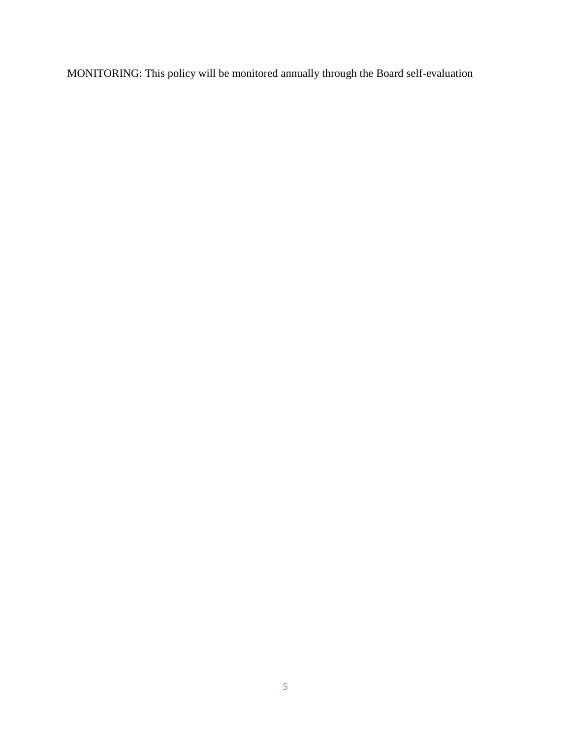MONITORING: This policy will be monitored annually through the Board self-evaluation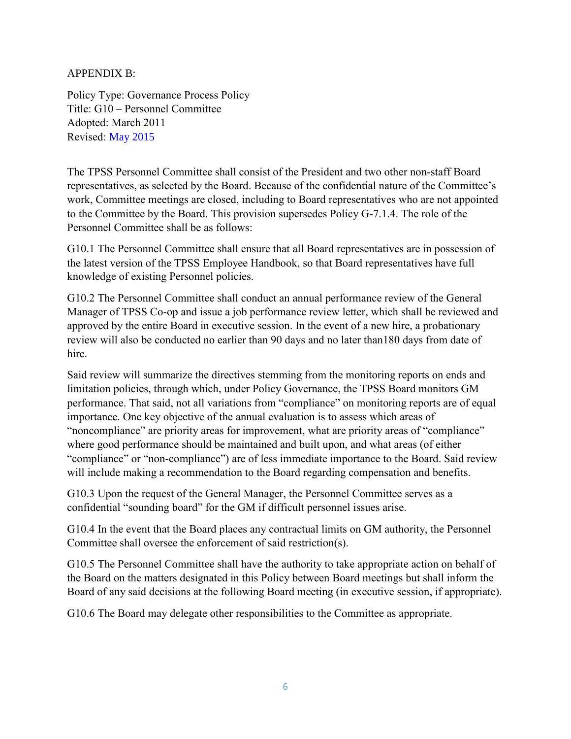### APPENDIX B:

Policy Type: Governance Process Policy Title: G10 – Personnel Committee Adopted: March 2011 Revised: May 2015

The TPSS Personnel Committee shall consist of the President and two other non-staff Board representatives, as selected by the Board. Because of the confidential nature of the Committee's work, Committee meetings are closed, including to Board representatives who are not appointed to the Committee by the Board. This provision supersedes Policy G-7.1.4. The role of the Personnel Committee shall be as follows:

G10.1 The Personnel Committee shall ensure that all Board representatives are in possession of the latest version of the TPSS Employee Handbook, so that Board representatives have full knowledge of existing Personnel policies.

G10.2 The Personnel Committee shall conduct an annual performance review of the General Manager of TPSS Co-op and issue a job performance review letter, which shall be reviewed and approved by the entire Board in executive session. In the event of a new hire, a probationary review will also be conducted no earlier than 90 days and no later than180 days from date of hire.

Said review will summarize the directives stemming from the monitoring reports on ends and limitation policies, through which, under Policy Governance, the TPSS Board monitors GM performance. That said, not all variations from "compliance" on monitoring reports are of equal importance. One key objective of the annual evaluation is to assess which areas of "noncompliance" are priority areas for improvement, what are priority areas of "compliance" where good performance should be maintained and built upon, and what areas (of either "compliance" or "non-compliance") are of less immediate importance to the Board. Said review will include making a recommendation to the Board regarding compensation and benefits.

G10.3 Upon the request of the General Manager, the Personnel Committee serves as a confidential "sounding board" for the GM if difficult personnel issues arise.

G10.4 In the event that the Board places any contractual limits on GM authority, the Personnel Committee shall oversee the enforcement of said restriction(s).

G10.5 The Personnel Committee shall have the authority to take appropriate action on behalf of the Board on the matters designated in this Policy between Board meetings but shall inform the Board of any said decisions at the following Board meeting (in executive session, if appropriate).

G10.6 The Board may delegate other responsibilities to the Committee as appropriate.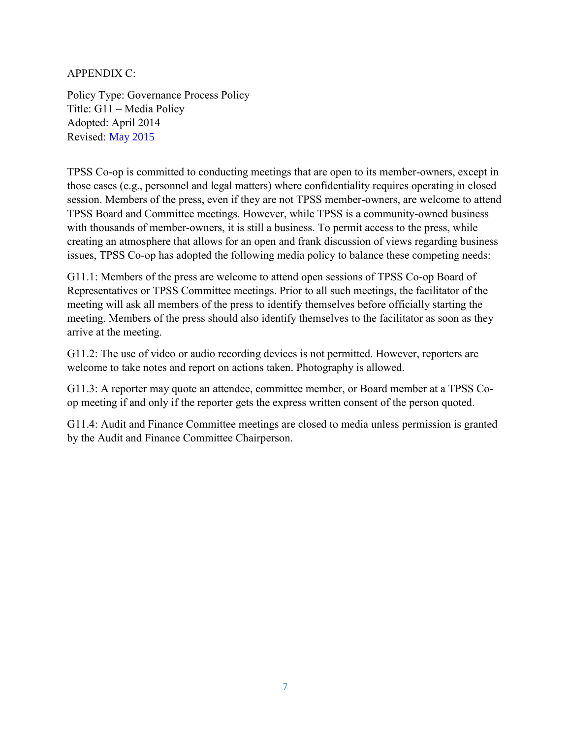APPENDIX C:

Policy Type: Governance Process Policy Title: G11 – Media Policy Adopted: April 2014 Revised: May 2015

TPSS Co-op is committed to conducting meetings that are open to its member-owners, except in those cases (e.g., personnel and legal matters) where confidentiality requires operating in closed session. Members of the press, even if they are not TPSS member-owners, are welcome to attend TPSS Board and Committee meetings. However, while TPSS is a community-owned business with thousands of member-owners, it is still a business. To permit access to the press, while creating an atmosphere that allows for an open and frank discussion of views regarding business issues, TPSS Co-op has adopted the following media policy to balance these competing needs:

G11.1: Members of the press are welcome to attend open sessions of TPSS Co-op Board of Representatives or TPSS Committee meetings. Prior to all such meetings, the facilitator of the meeting will ask all members of the press to identify themselves before officially starting the meeting. Members of the press should also identify themselves to the facilitator as soon as they arrive at the meeting.

G11.2: The use of video or audio recording devices is not permitted. However, reporters are welcome to take notes and report on actions taken. Photography is allowed.

G11.3: A reporter may quote an attendee, committee member, or Board member at a TPSS Coop meeting if and only if the reporter gets the express written consent of the person quoted.

G11.4: Audit and Finance Committee meetings are closed to media unless permission is granted by the Audit and Finance Committee Chairperson.